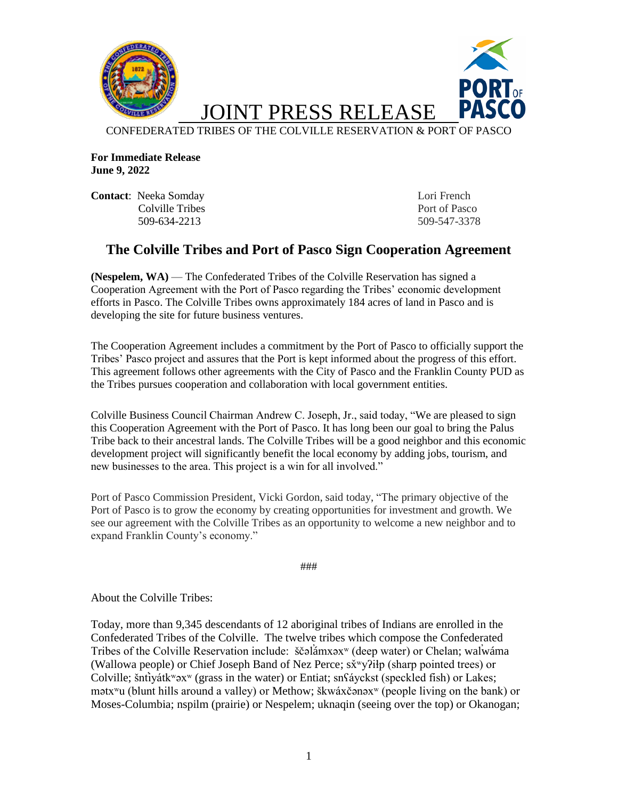

**For Immediate Release June 9, 2022**

**Contact:** Neeka Somday Lori French Colville Tribes Port of Pasco 509-634-2213 509-547-3378

## **The Colville Tribes and Port of Pasco Sign Cooperation Agreement**

**(Nespelem, WA)** — The Confederated Tribes of the Colville Reservation has signed a Cooperation Agreement with the Port of Pasco regarding the Tribes' economic development efforts in Pasco. The Colville Tribes owns approximately 184 acres of land in Pasco and is developing the site for future business ventures.

The Cooperation Agreement includes a commitment by the Port of Pasco to officially support the Tribes' Pasco project and assures that the Port is kept informed about the progress of this effort. This agreement follows other agreements with the City of Pasco and the Franklin County PUD as the Tribes pursues cooperation and collaboration with local government entities.

Colville Business Council Chairman Andrew C. Joseph, Jr., said today, "We are pleased to sign this Cooperation Agreement with the Port of Pasco. It has long been our goal to bring the Palus Tribe back to their ancestral lands. The Colville Tribes will be a good neighbor and this economic development project will significantly benefit the local economy by adding jobs, tourism, and new businesses to the area. This project is a win for all involved."

Port of Pasco Commission President, Vicki Gordon, said today, "The primary objective of the Port of Pasco is to grow the economy by creating opportunities for investment and growth. We see our agreement with the Colville Tribes as an opportunity to welcome a new neighbor and to expand Franklin County's economy."

###

About the Colville Tribes:

Today, more than 9,345 descendants of 12 aboriginal tribes of Indians are enrolled in the Confederated Tribes of the Colville. The twelve tribes which compose the Confederated Tribes of the Colville Reservation include: ščəlámxəx<sup>w</sup> (deep water) or Chelan; walwáma (Wallowa people) or Chief Joseph Band of Nez Perce; sx̌ʷyʔiɬp (sharp pointed trees) or Colville; šnt̕iyátkʷəxʷ (grass in the water) or Entiat; snʕáyckst (speckled fish) or Lakes; mətxʷu (blunt hills around a valley) or Methow; škwáxčənəxʷ (people living on the bank) or Moses-Columbia; nspilm (prairie) or Nespelem; uknaqin (seeing over the top) or Okanogan;